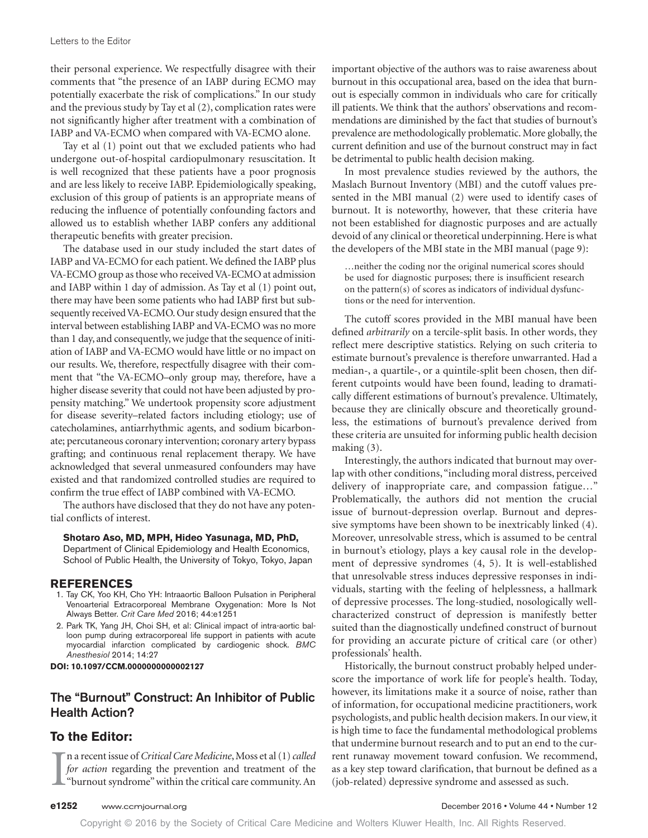their personal experience. We respectfully disagree with their comments that "the presence of an IABP during ECMO may potentially exacerbate the risk of complications." In our study and the previous study by Tay et al (2), complication rates were not significantly higher after treatment with a combination of IABP and VA-ECMO when compared with VA-ECMO alone.

Tay et al (1) point out that we excluded patients who had undergone out-of-hospital cardiopulmonary resuscitation. It is well recognized that these patients have a poor prognosis and are less likely to receive IABP. Epidemiologically speaking, exclusion of this group of patients is an appropriate means of reducing the influence of potentially confounding factors and allowed us to establish whether IABP confers any additional therapeutic benefits with greater precision.

The database used in our study included the start dates of IABP and VA-ECMO for each patient. We defined the IABP plus VA-ECMO group as those who received VA-ECMO at admission and IABP within 1 day of admission. As Tay et al (1) point out, there may have been some patients who had IABP first but subsequently received VA-ECMO. Our study design ensured that the interval between establishing IABP and VA-ECMO was no more than 1 day, and consequently, we judge that the sequence of initiation of IABP and VA-ECMO would have little or no impact on our results. We, therefore, respectfully disagree with their comment that "the VA-ECMO–only group may, therefore, have a higher disease severity that could not have been adjusted by propensity matching." We undertook propensity score adjustment for disease severity–related factors including etiology; use of catecholamines, antiarrhythmic agents, and sodium bicarbonate; percutaneous coronary intervention; coronary artery bypass grafting; and continuous renal replacement therapy. We have acknowledged that several unmeasured confounders may have existed and that randomized controlled studies are required to confirm the true effect of IABP combined with VA-ECMO.

The authors have disclosed that they do not have any potential conflicts of interest.

#### **Shotaro Aso, MD, MPH, Hideo Yasunaga, MD, PhD,**

Department of Clinical Epidemiology and Health Economics, School of Public Health, the University of Tokyo, Tokyo, Japan

#### **REFERENCES**

- 1. Tay CK, Yoo KH, Cho YH: Intraaortic Balloon Pulsation in Peripheral Venoarterial Extracorporeal Membrane Oxygenation: More Is Not Always Better. Crit Care Med 2016; 44:e1251
- 2. Park TK, Yang JH, Choi SH, et al: Clinical impact of intra-aortic balloon pump during extracorporeal life support in patients with acute myocardial infarction complicated by cardiogenic shock. BMC Anesthesiol 2014; 14:27

**DOI: 10.1097/CCM.0000000000002127**

# **The "Burnout" Construct: An Inhibitor of Public Health Action?**

## **To the Editor:**

I n a recent issue of *Critical Care Medicine*, Moss et al (1) *called for action* regarding the prevention and treatment of the "burnout syndrome" within the critical care community. An

important objective of the authors was to raise awareness about burnout in this occupational area, based on the idea that burnout is especially common in individuals who care for critically ill patients. We think that the authors' observations and recommendations are diminished by the fact that studies of burnout's prevalence are methodologically problematic. More globally, the current definition and use of the burnout construct may in fact be detrimental to public health decision making.

In most prevalence studies reviewed by the authors, the Maslach Burnout Inventory (MBI) and the cutoff values presented in the MBI manual (2) were used to identify cases of burnout. It is noteworthy, however, that these criteria have not been established for diagnostic purposes and are actually devoid of any clinical or theoretical underpinning. Here is what the developers of the MBI state in the MBI manual (page 9):

…neither the coding nor the original numerical scores should be used for diagnostic purposes; there is insufficient research on the pattern(s) of scores as indicators of individual dysfunctions or the need for intervention.

The cutoff scores provided in the MBI manual have been defined *arbitrarily* on a tercile-split basis. In other words, they reflect mere descriptive statistics. Relying on such criteria to estimate burnout's prevalence is therefore unwarranted. Had a median-, a quartile-, or a quintile-split been chosen, then different cutpoints would have been found, leading to dramatically different estimations of burnout's prevalence. Ultimately, because they are clinically obscure and theoretically groundless, the estimations of burnout's prevalence derived from these criteria are unsuited for informing public health decision making (3).

Interestingly, the authors indicated that burnout may overlap with other conditions, "including moral distress, perceived delivery of inappropriate care, and compassion fatigue…" Problematically, the authors did not mention the crucial issue of burnout-depression overlap. Burnout and depressive symptoms have been shown to be inextricably linked (4). Moreover, unresolvable stress, which is assumed to be central in burnout's etiology, plays a key causal role in the development of depressive syndromes (4, 5). It is well-established that unresolvable stress induces depressive responses in individuals, starting with the feeling of helplessness, a hallmark of depressive processes. The long-studied, nosologically wellcharacterized construct of depression is manifestly better suited than the diagnostically undefined construct of burnout for providing an accurate picture of critical care (or other) professionals' health.

Historically, the burnout construct probably helped underscore the importance of work life for people's health. Today, however, its limitations make it a source of noise, rather than of information, for occupational medicine practitioners, work psychologists, and public health decision makers. In our view, it is high time to face the fundamental methodological problems that undermine burnout research and to put an end to the current runaway movement toward confusion. We recommend, as a key step toward clarification, that burnout be defined as a (job-related) depressive syndrome and assessed as such.

Copyright © 2016 by the Society of Critical Care Medicine and Wolters Kluwer Health, Inc. All Rights Reserved.